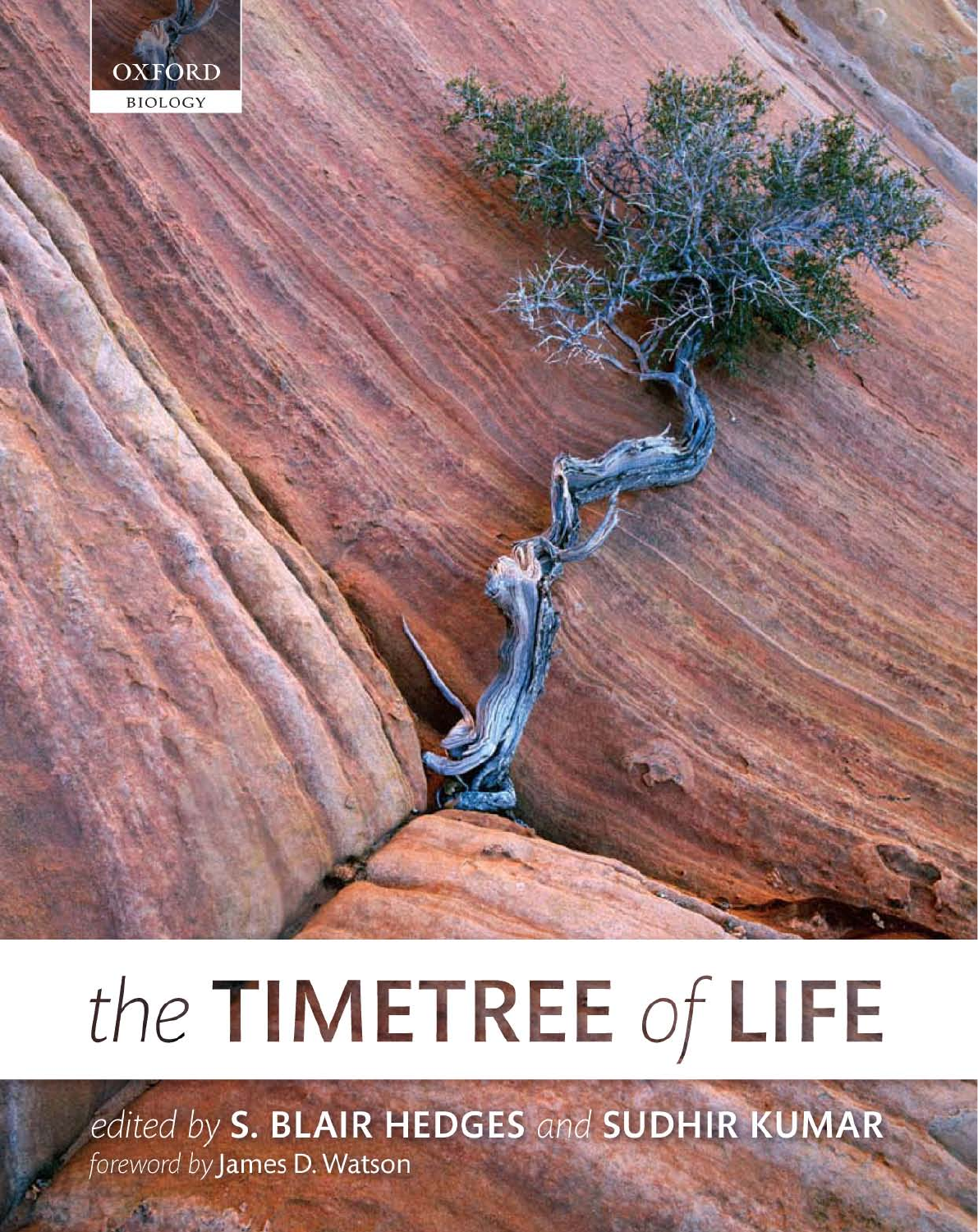

# the TIMETREE of LIFE

edited by S. BLAIR HEDGES and SUDHIR KUMAR foreword by James D. Watson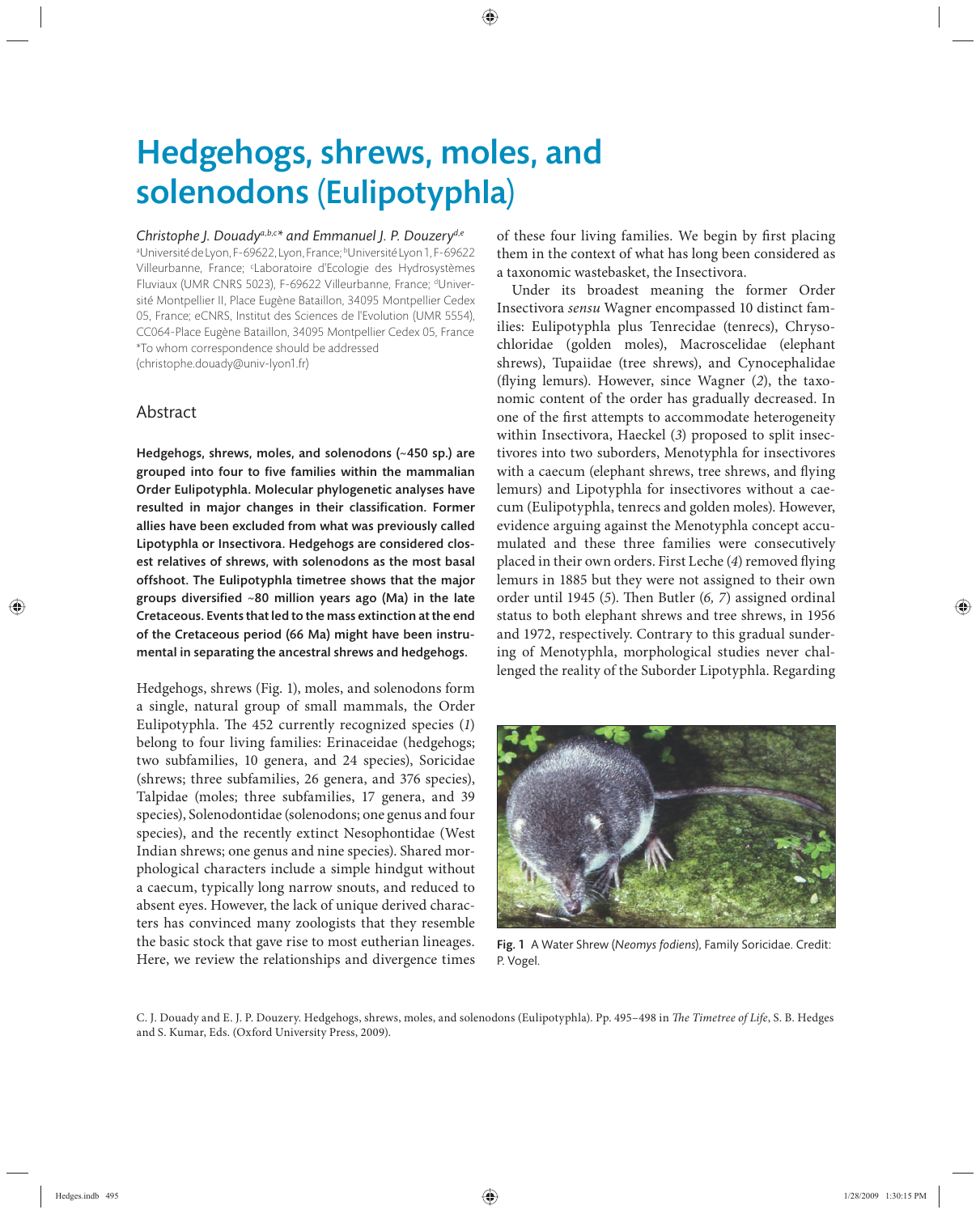## Hedgehogs, shrews, moles, and solenodons (Eulipotyphla)

#### *Christophe J. Douadya*,*b*,*<sup>c</sup> \* and Emmanuel J. P. Douzeryd*,*<sup>e</sup>*

a Université de Lyon, F-69622, Lyon, France; bUniversité Lyon 1, F-69622 Villeurbanne, France; <sup>c</sup>Laboratoire d'Ecologie des Hydrosystèmes Fluviaux (UMR CNRS 5023), F-69622 Villeurbanne, France; dUniversité Montpellier II, Place Eugène Bataillon, 34095 Montpellier Cedex 05, France; eCNRS, Institut des Sciences de l'Evolution (UMR 5554), CC064-Place Eugène Bataillon, 34095 Montpellier Cedex 05, France \*To whom correspondence should be addressed (christophe.douady@univ-lyon1.fr)

Abstract

Hedgehogs, shrews, moles, and solenodons (~450 sp.) are grouped into four to five families within the mammalian Order Eulipotyphla. Molecular phylogenetic analyses have resulted in major changes in their classification. Former allies have been excluded from what was previously called Lipotyphla or Insectivora. Hedgehogs are considered closest relatives of shrews, with solenodons as the most basal offshoot. The Eulipotyphla timetree shows that the major groups diversified  $~80$  million years ago (Ma) in the late Cretaceous. Events that led to the mass extinction at the end of the Cretaceous period (66 Ma) might have been instrumental in separating the ancestral shrews and hedgehogs.

Hedgehogs, shrews (Fig. 1), moles, and solenodons form a single, natural group of small mammals, the Order Eulipotyphla. The 452 currently recognized species (1) belong to four living families: Erinaceidae (hedgehogs; two subfamilies, 10 genera, and 24 species), Soricidae (shrews; three subfamilies, 26 genera, and 376 species), Talpidae (moles; three subfamilies, 17 genera, and 39 species), Solenodontidae (solenodons; one genus and four species), and the recently extinct Nesophontidae (West Indian shrews; one genus and nine species). Shared morphological characters include a simple hindgut without a caecum, typically long narrow snouts, and reduced to absent eyes. However, the lack of unique derived characters has convinced many zoologists that they resemble the basic stock that gave rise to most eutherian lineages. Here, we review the relationships and divergence times of these four living families. We begin by first placing them in the context of what has long been considered as a taxonomic wastebasket, the Insectivora.

Under its broadest meaning the former Order Insectivora *sensu* Wagner encompassed 10 distinct families: Eulipotyphla plus Tenrecidae (tenrecs), Chrysochloridae (golden moles), Macroscelidae (elephant shrews), Tupaiidae (tree shrews), and Cynocephalidae (flying lemurs). However, since Wagner (2), the taxonomic content of the order has gradually decreased. In one of the first attempts to accommodate heterogeneity within Insectivora, Haeckel (*3*) proposed to split insectivores into two suborders, Menotyphla for insectivores with a caecum (elephant shrews, tree shrews, and flying lemurs) and Lipotyphla for insectivores without a caecum (Eulipotyphla, tenrecs and golden moles). However, evidence arguing against the Menotyphla concept accumulated and these three families were consecutively placed in their own orders. First Leche (4) removed flying lemurs in 1885 but they were not assigned to their own order until 1945 (5). Then Butler (6, 7) assigned ordinal status to both elephant shrews and tree shrews, in 1956 and 1972, respectively. Contrary to this gradual sundering of Menotyphla, morphological studies never challenged the reality of the Suborder Lipotyphla. Regarding



Fig. 1 A Water Shrew (*Neomys fodiens*), Family Soricidae. Credit: P. Vogel.

C. J. Douady and E. J. P. Douzery. Hedgehogs, shrews, moles, and solenodons (Eulipotyphla). Pp. 495-498 in *The Timetree of Life*, S. B. Hedges and S. Kumar, Eds. (Oxford University Press, 2009).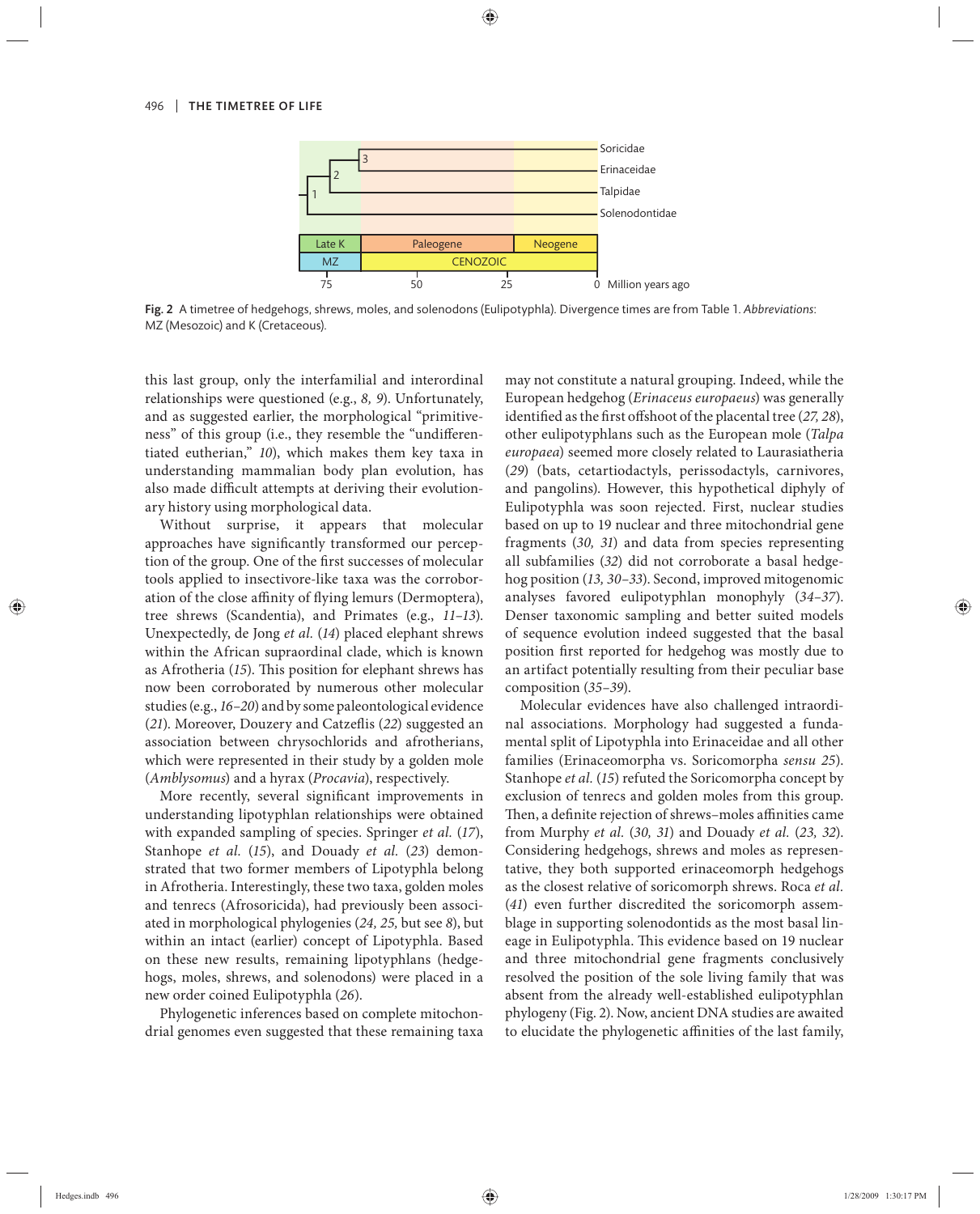

Fig. 2 A timetree of hedgehogs, shrews, moles, and solenodons (Eulipotyphla). Divergence times are from Table 1. *Abbreviations*: MZ (Mesozoic) and K (Cretaceous)

this last group, only the interfamilial and interordinal relationships were questioned (e.g., *8, 9*). Unfortunately, and as suggested earlier, the morphological "primitiveness" of this group (i.e., they resemble the "undifferentiated eutherian," *10*), which makes them key taxa in understanding mammalian body plan evolution, has also made difficult attempts at deriving their evolutionary history using morphological data.

Without surprise, it appears that molecular approaches have significantly transformed our perception of the group. One of the first successes of molecular tools applied to insectivore-like taxa was the corroboration of the close affinity of flying lemurs (Dermoptera), tree shrews (Scandentia), and Primates (e.g., *11–13*). Unexpectedly, de Jong *et al.* (*14*) placed elephant shrews within the African supraordinal clade, which is known as Afrotheria (15). This position for elephant shrews has now been corroborated by numerous other molecular studies (e.g., *16–20*) and by some paleontological evidence (21). Moreover, Douzery and Catzeflis (22) suggested an association between chrysochlorids and afrotherians, which were represented in their study by a golden mole (*Amblysomus*) and a hyrax (*Procavia*), respectively.

More recently, several significant improvements in understanding lipotyphlan relationships were obtained with expanded sampling of species. Springer *et al.* (*17*), Stanhope *et al.* (15), and Douady *et al.* (23) demonstrated that two former members of Lipotyphla belong in Afrotheria. Interestingly, these two taxa, golden moles and tenrecs (Afrosoricida), had previously been associated in morphological phylogenies (*24, 25,* but see *8*), but within an intact (earlier) concept of Lipotyphla. Based on these new results, remaining lipotyphlans (hedgehogs, moles, shrews, and solenodons) were placed in a new order coined Eulipotyphla (*26*).

Phylogenetic inferences based on complete mitochondrial genomes even suggested that these remaining taxa may not constitute a natural grouping. Indeed, while the European hedgehog (*Erinaceus europaeus*) was generally identified as the first offshoot of the placental tree (27, 28), other eulipotyphlans such as the European mole (*Talpa europaea*) seemed more closely related to Laurasiatheria (*29*) (bats, cetartiodactyls, perissodactyls, carnivores, and pangolins). However, this hypothetical diphyly of Eulipotyphla was soon rejected. First, nuclear studies based on up to 19 nuclear and three mitochondrial gene fragments (*30, 31*) and data from species representing all subfamilies (*32*) did not corroborate a basal hedgehog position (*13, 30–33*). Second, improved mitogenomic analyses favored eulipotyphlan monophyly (34-37). Denser taxonomic sampling and better suited models of sequence evolution indeed suggested that the basal position first reported for hedgehog was mostly due to an artifact potentially resulting from their peculiar base composition (*35–39*).

Molecular evidences have also challenged intraordinal associations. Morphology had suggested a fundamental split of Lipotyphla into Erinaceidae and all other families (Erinaceomorpha vs. Soricomorpha *sensu 25*). Stanhope *et al.* (*15*) refuted the Soricomorpha concept by exclusion of tenrecs and golden moles from this group. Then, a definite rejection of shrews–moles affinities came from Murphy *et al.* (*30, 31*) and Douady *et al.* (*23, 32*). Considering hedgehogs, shrews and moles as representative, they both supported erinaceomorph hedgehogs as the closest relative of soricomorph shrews. Roca *et al.* (*41*) even further discredited the soricomorph assemblage in supporting solenodontids as the most basal lineage in Eulipotyphla. This evidence based on 19 nuclear and three mitochondrial gene fragments conclusively resolved the position of the sole living family that was absent from the already well-established eulipotyphlan phylogeny (Fig. 2). Now, ancient DNA studies are awaited to elucidate the phylogenetic affinities of the last family,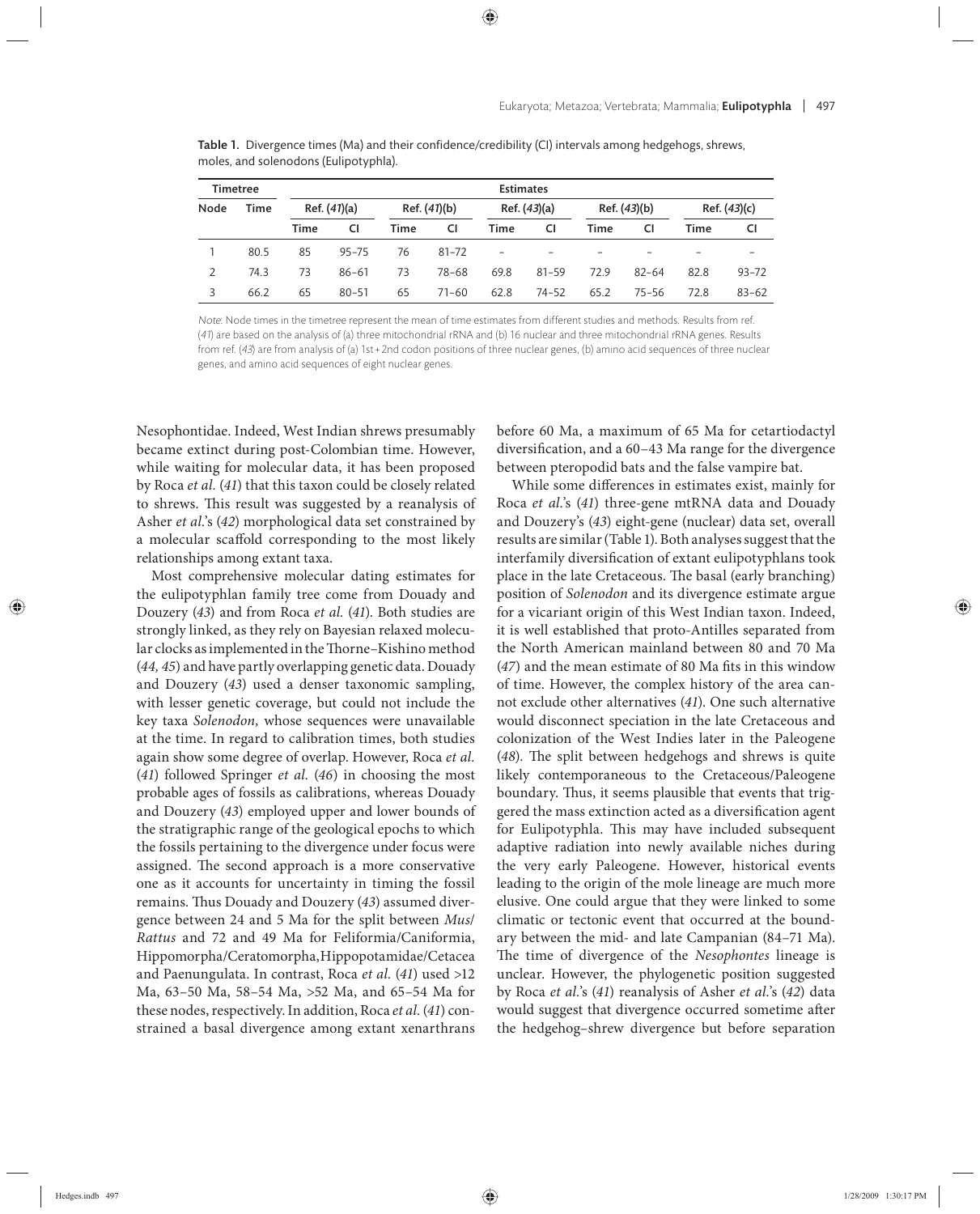| <b>Timetree</b> |      | <b>Estimates</b> |           |              |           |                          |           |                 |           |              |           |
|-----------------|------|------------------|-----------|--------------|-----------|--------------------------|-----------|-----------------|-----------|--------------|-----------|
| Node            | Time | Ref. $(41)(a)$   |           | Ref. (41)(b) |           | Ref. (43)(a)             |           | Ref. (43)(b)    |           | Ref. (43)(c) |           |
|                 |      | Time             | <b>CI</b> | Time         | CI        | Time                     | CI        | Time            | CI        | Time         | CI        |
|                 | 80.5 | 85               | $95 - 75$ | 76           | $81 - 72$ | $\overline{\phantom{0}}$ |           | $\qquad \qquad$ |           |              |           |
|                 | 74.3 | 73               | $86 - 61$ | 73           | 78-68     | 69.8                     | $81 - 59$ | 72.9            | $82 - 64$ | 82.8         | $93 - 72$ |
|                 | 66.2 | 65               | $80 - 51$ | 65           | $71 - 60$ | 62.8                     | $74 - 52$ | 65.2            | $75 - 56$ | 72.8         | $83 - 62$ |

Table 1. Divergence times (Ma) and their confidence/credibility (CI) intervals among hedgehogs, shrews, moles, and solenodons (Eulipotyphla).

Note: Node times in the timetree represent the mean of time estimates from different studies and methods. Results from ref. (41) are based on the analysis of (a) three mitochondrial rRNA and (b) 16 nuclear and three mitochondrial rRNA genes. Results from ref. (43) are from analysis of (a) 1st + 2nd codon positions of three nuclear genes, (b) amino acid sequences of three nuclear genes, and amino acid sequences of eight nuclear genes.

Nesophontidae. Indeed, West Indian shrews presumably became extinct during post-Colombian time. However, while waiting for molecular data, it has been proposed by Roca *et al.* (*41*) that this taxon could be closely related to shrews. This result was suggested by a reanalysis of Asher *et al.*'s (*42*) morphological data set constrained by a molecular scaffold corresponding to the most likely relationships among extant taxa.

Most comprehensive molecular dating estimates for the eulipotyphlan family tree come from Douady and Douzery (*43*) and from Roca *et al.* (*41*). Both studies are strongly linked, as they rely on Bayesian relaxed molecular clocks as implemented in the Thorne–Kishino method (*44, 45*) and have partly overlapping genetic data. Douady and Douzery (*43*) used a denser taxonomic sampling, with lesser genetic coverage, but could not include the key taxa *Solenodon*, whose sequences were unavailable at the time. In regard to calibration times, both studies again show some degree of overlap. However, Roca *et al.* (*41*) followed Springer *et al.* (*46*) in choosing the most probable ages of fossils as calibrations, whereas Douady and Douzery (*43*) employed upper and lower bounds of the stratigraphic range of the geological epochs to which the fossils pertaining to the divergence under focus were assigned. The second approach is a more conservative one as it accounts for uncertainty in timing the fossil remains. Thus Douady and Douzery (43) assumed divergence between 24 and 5 Ma for the split between *Mus*/ *Rattus* and 72 and 49 Ma for Feliformia/Caniformia, Hippomorpha/Ceratomorpha, Hippopotamidae/Cetacea and Paenungulata. In contrast, Roca *et al.* (*41*) used >12 Ma, 63–50 Ma, 58–54 Ma, >52 Ma, and 65–54 Ma for these nodes, respectively. In addition, Roca *et al.* (*41*) constrained a basal divergence among extant xenarthrans

before 60 Ma, a maximum of 65 Ma for cetartiodactyl diversification, and a 60–43 Ma range for the divergence between pteropodid bats and the false vampire bat.

While some differences in estimates exist, mainly for Roca *et al.*'s (*41*) three-gene mtRNA data and Douady and Douzery's (*43*) eight-gene (nuclear) data set, overall results are similar (Table 1). Both analyses suggest that the interfamily diversification of extant eulipotyphlans took place in the late Cretaceous. The basal (early branching) position of *Solenodon* and its divergence estimate argue for a vicariant origin of this West Indian taxon. Indeed, it is well established that proto-Antilles separated from the North American mainland between 80 and 70 Ma (47) and the mean estimate of 80 Ma fits in this window of time. However, the complex history of the area cannot exclude other alternatives (*41*). One such alternative would disconnect speciation in the late Cretaceous and colonization of the West Indies later in the Paleogene (48). The split between hedgehogs and shrews is quite likely contemporaneous to the Cretaceous/Paleogene boundary. Thus, it seems plausible that events that triggered the mass extinction acted as a diversification agent for Eulipotyphla. This may have included subsequent adaptive radiation into newly available niches during the very early Paleogene. However, historical events leading to the origin of the mole lineage are much more elusive. One could argue that they were linked to some climatic or tectonic event that occurred at the boundary between the mid- and late Campanian (84–71 Ma). The time of divergence of the *Nesophontes* lineage is unclear. However, the phylogenetic position suggested by Roca *et al.*'s (*41*) reanalysis of Asher *et al.*'s (*42*) data would suggest that divergence occurred sometime after the hedgehog–shrew divergence but before separation